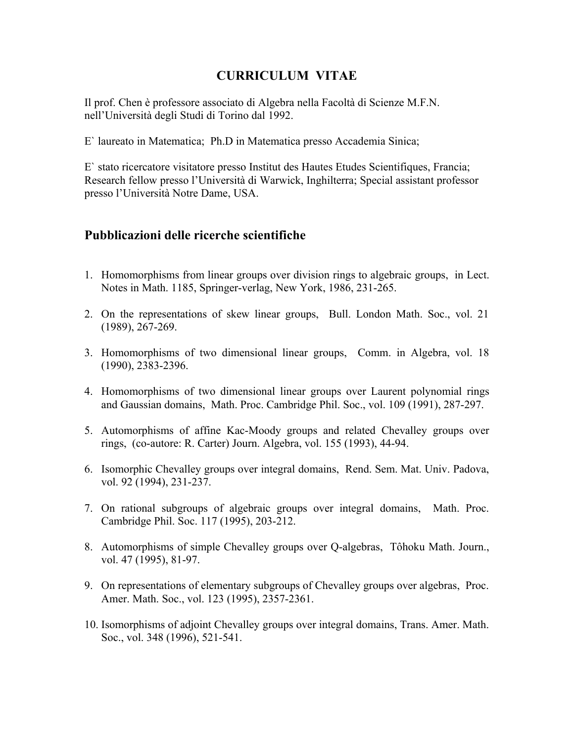## **CURRICULUM VITAE**

Il prof. Chen è professore associato di Algebra nella Facoltà di Scienze M.F.N. nell'Università degli Studi di Torino dal 1992.

E` laureato in Matematica; Ph.D in Matematica presso Accademia Sinica;

E` stato ricercatore visitatore presso Institut des Hautes Etudes Scientifiques, Francia; Research fellow presso l'Università di Warwick, Inghilterra; Special assistant professor presso l'Università Notre Dame, USA.

## **Pubblicazioni delle ricerche scientifiche**

- 1. Homomorphisms from linear groups over division rings to algebraic groups, in Lect. Notes in Math. 1185, Springer-verlag, New York, 1986, 231-265.
- 2. On the representations of skew linear groups, Bull. London Math. Soc., vol. 21 (1989), 267-269.
- 3. Homomorphisms of two dimensional linear groups, Comm. in Algebra, vol. 18 (1990), 2383-2396.
- 4. Homomorphisms of two dimensional linear groups over Laurent polynomial rings and Gaussian domains, Math. Proc. Cambridge Phil. Soc., vol. 109 (1991), 287-297.
- 5. Automorphisms of affine Kac-Moody groups and related Chevalley groups over rings, (co-autore: R. Carter) Journ. Algebra, vol. 155 (1993), 44-94.
- 6. Isomorphic Chevalley groups over integral domains, Rend. Sem. Mat. Univ. Padova, vol. 92 (1994), 231-237.
- 7. On rational subgroups of algebraic groups over integral domains, Math. Proc. Cambridge Phil. Soc. 117 (1995), 203-212.
- 8. Automorphisms of simple Chevalley groups over Q-algebras, Tôhoku Math. Journ., vol. 47 (1995), 81-97.
- 9. On representations of elementary subgroups of Chevalley groups over algebras, Proc. Amer. Math. Soc., vol. 123 (1995), 2357-2361.
- 10. Isomorphisms of adjoint Chevalley groups over integral domains, Trans. Amer. Math. Soc., vol. 348 (1996), 521-541.